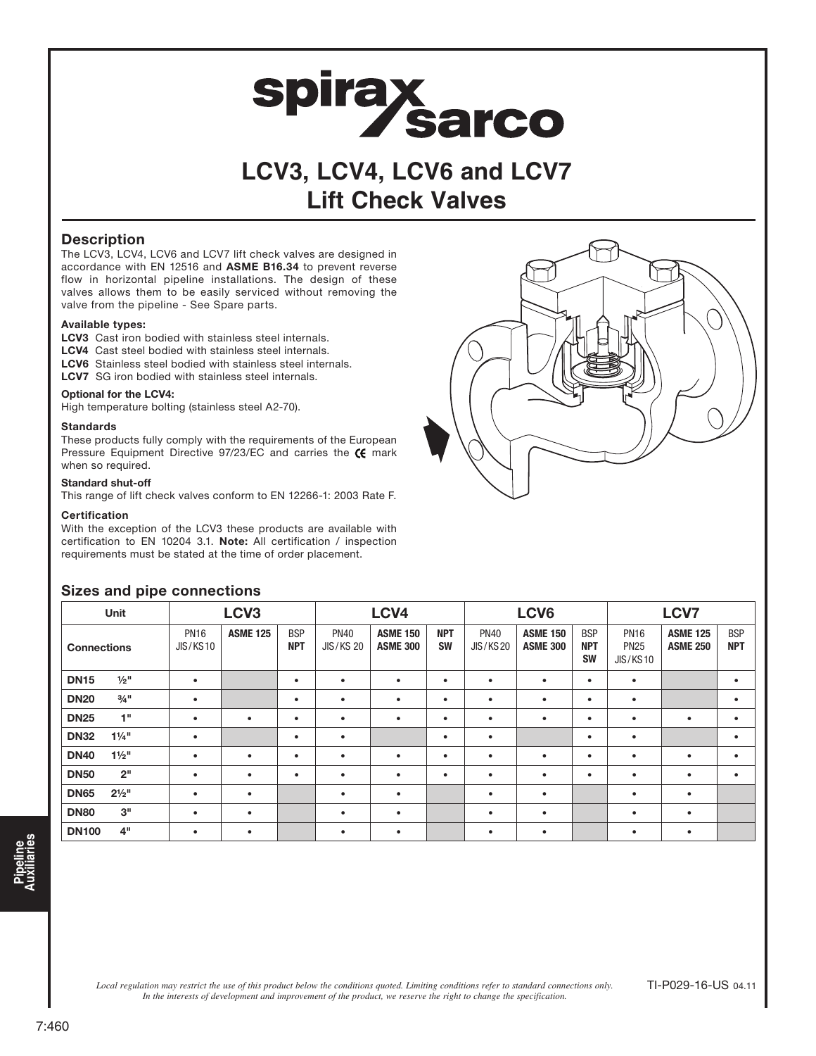# spirax<br>Sarco

### **LCV3, LCV4, LCV6 and LCV7 Lift Check Valves**

### **Description**

The LCV3, LCV4, LCV6 and LCV7 lift check valves are designed in accordance with EN 12516 and ASME B16.34 to prevent reverse flow in horizontal pipeline installations. The design of these valves allows them to be easily serviced without removing the valve from the pipeline - See Spare parts.

### Available types:

- LCV3 Cast iron bodied with stainless steel internals.
- LCV4 Cast steel bodied with stainless steel internals.
- LCV6 Stainless steel bodied with stainless steel internals.
- LCV7 SG iron bodied with stainless steel internals.

### Optional for the LCV4:

High temperature bolting (stainless steel A2-70).

#### **Standards**

These products fully comply with the requirements of the European Pressure Equipment Directive  $97/23/EC$  and carries the  $\epsilon$  mark when so required.

### Standard shut-off

This range of lift check valves conform to EN 12266-1: 2003 Rate F.

### **Certification**

With the exception of the LCV3 these products are available with certification to EN 10204 3.1. Note: All certification / inspection requirements must be stated at the time of order placement.



|                    | Unit                |                         | LCV <sub>3</sub> |                          |                                 | LCV4                               |                         |                                | LCV6                               |                                       | <b>LCV7</b>                                   |                                    |                          |
|--------------------|---------------------|-------------------------|------------------|--------------------------|---------------------------------|------------------------------------|-------------------------|--------------------------------|------------------------------------|---------------------------------------|-----------------------------------------------|------------------------------------|--------------------------|
| <b>Connections</b> |                     | <b>PN16</b><br>JIS/KS10 | <b>ASME 125</b>  | <b>BSP</b><br><b>NPT</b> | <b>PN40</b><br><b>JIS/KS 20</b> | <b>ASME 150</b><br><b>ASME 300</b> | <b>NPT</b><br><b>SW</b> | <b>PN40</b><br><b>JIS/KS20</b> | <b>ASME 150</b><br><b>ASME 300</b> | <b>BSP</b><br><b>NPT</b><br><b>SW</b> | <b>PN16</b><br><b>PN25</b><br><b>JIS/KS10</b> | <b>ASME 125</b><br><b>ASME 250</b> | <b>BSP</b><br><b>NPT</b> |
| <b>DN15</b>        | $1/2$ <sup>11</sup> | $\bullet$               |                  | $\bullet$                | $\bullet$                       | $\bullet$                          | $\bullet$               | $\bullet$                      |                                    | ٠                                     | $\bullet$                                     |                                    | $\bullet$                |
| <b>DN20</b>        | $3/4$ <sup>11</sup> | $\bullet$               |                  | ٠                        | ٠                               | $\bullet$                          | ٠                       | ٠                              | ٠                                  | $\bullet$                             | $\bullet$                                     |                                    | $\bullet$                |
| <b>DN25</b>        | 1"                  | $\bullet$               | ٠                | $\bullet$                | $\bullet$                       | $\bullet$                          | $\bullet$               | ٠                              | ٠                                  | ٠                                     | ٠                                             | ٠                                  | $\bullet$                |
| <b>DN32</b>        | $1\frac{1}{4}$ "    | $\bullet$               |                  | ٠                        | $\bullet$                       |                                    | ٠                       | ٠                              |                                    | $\bullet$                             | $\bullet$                                     |                                    | $\bullet$                |
| <b>DN40</b>        | $1\frac{1}{2}$ "    | $\bullet$               | ٠                | $\bullet$                | $\bullet$                       | $\bullet$                          | ٠                       | $\bullet$                      |                                    | $\bullet$                             | $\bullet$                                     | ٠                                  | $\bullet$                |
| <b>DN50</b>        | 2 <sup>11</sup>     | $\bullet$               | $\bullet$        | ٠                        | $\bullet$                       | $\bullet$                          | $\bullet$               | $\bullet$                      | ٠                                  | ٠                                     | $\bullet$                                     | $\bullet$                          | $\bullet$                |
| <b>DN65</b>        | $2\frac{1}{2}$ "    | $\bullet$               | ٠                |                          | $\bullet$                       | $\bullet$                          |                         | ٠                              | ٠                                  |                                       | $\bullet$                                     | $\bullet$                          |                          |
| <b>DN80</b>        | 3"                  | $\bullet$               | ٠                |                          | $\bullet$                       | $\bullet$                          |                         | ٠                              | ٠                                  |                                       | $\bullet$                                     | ٠                                  |                          |
| <b>DN100</b>       | 4 <sup>11</sup>     | $\bullet$               | ٠                |                          | ٠                               | $\bullet$                          |                         | ٠                              |                                    |                                       | ٠                                             | ٠                                  |                          |

### Sizes and pipe connections

*Local regulation may restrict the use of this product below the conditions quoted. Limiting conditions refer to standard connections only. In the interests of development and improvement of the product, we reserve the right to change the specification.*

TI-P029-16-US 04.11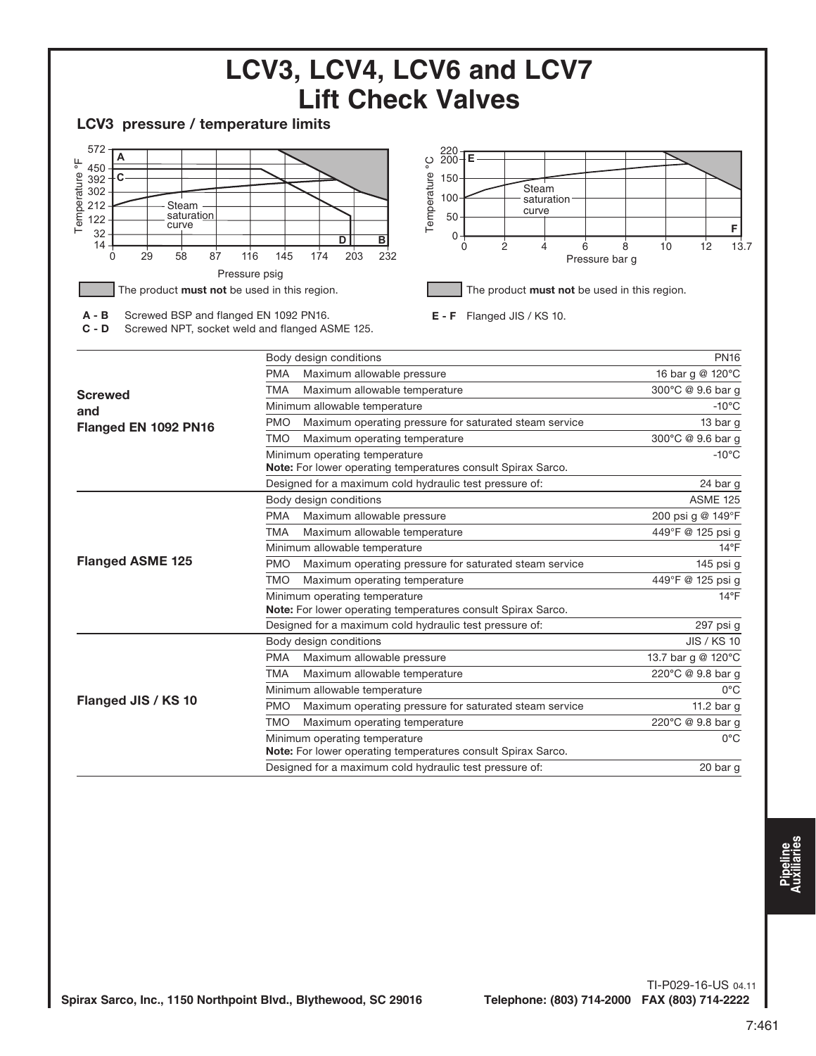

TI-P029-16-US 04.11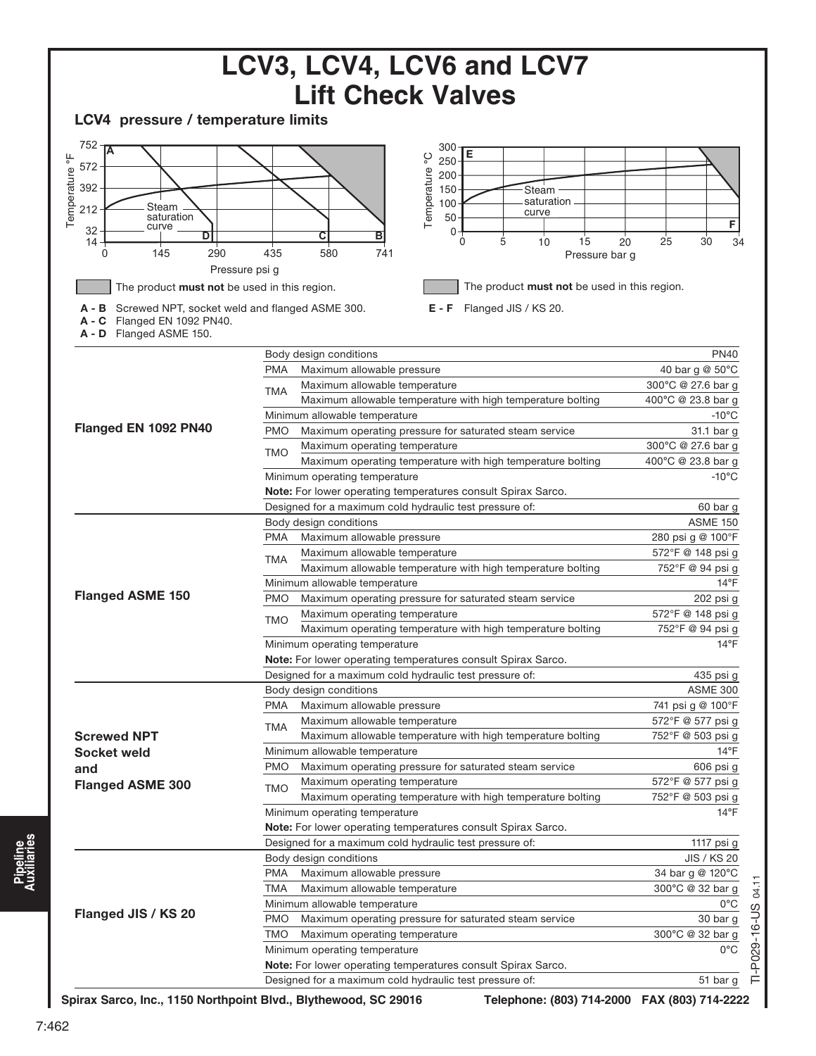|                                                                                                                                                                                                                                                                                                        |            | LCV3, LCV4, LCV6 and LCV7                                                                                                                                                                                                                              |                                        |
|--------------------------------------------------------------------------------------------------------------------------------------------------------------------------------------------------------------------------------------------------------------------------------------------------------|------------|--------------------------------------------------------------------------------------------------------------------------------------------------------------------------------------------------------------------------------------------------------|----------------------------------------|
|                                                                                                                                                                                                                                                                                                        |            | <b>Lift Check Valves</b>                                                                                                                                                                                                                               |                                        |
| LCV4 pressure / temperature limits                                                                                                                                                                                                                                                                     |            |                                                                                                                                                                                                                                                        |                                        |
| 752<br>ΙA<br>Temperature °F<br>572<br>392<br>Steam<br>212<br>saturation<br>curve<br>32<br>D<br>14<br>145<br>290<br>0<br>Pressure psi g<br>The product must not be used in this region.<br>Screwed NPT, socket weld and flanged ASME 300.<br>в<br>Flanged EN 1092 PN40.<br>C<br>A - D Flanged ASME 150. | 435        | 300<br>Е<br>ပ္ခ<br>250<br>Temperature<br>200<br>150<br>Steam<br>saturation<br>100<br>curve<br>50<br>0<br>с<br>в<br>5<br>10<br>15<br>0<br>580<br>741<br>Pressure bar g<br>The product must not be used in this region.<br>E - F<br>Flanged JIS / KS 20. | F<br>20<br>25<br>30 <sup>o</sup><br>34 |
|                                                                                                                                                                                                                                                                                                        |            |                                                                                                                                                                                                                                                        |                                        |
|                                                                                                                                                                                                                                                                                                        |            | Body design conditions                                                                                                                                                                                                                                 | <b>PN40</b>                            |
|                                                                                                                                                                                                                                                                                                        | <b>PMA</b> | Maximum allowable pressure<br>Maximum allowable temperature                                                                                                                                                                                            | 40 bar g @ 50°C<br>300°C @ 27.6 bar g  |
|                                                                                                                                                                                                                                                                                                        | TMA        | Maximum allowable temperature with high temperature bolting                                                                                                                                                                                            | 400°C @ 23.8 bar g                     |
|                                                                                                                                                                                                                                                                                                        |            | Minimum allowable temperature                                                                                                                                                                                                                          | $-10^{\circ}$ C                        |
| Flanged EN 1092 PN40                                                                                                                                                                                                                                                                                   | <b>PMO</b> | Maximum operating pressure for saturated steam service                                                                                                                                                                                                 | 31.1 bar g                             |
|                                                                                                                                                                                                                                                                                                        |            | Maximum operating temperature                                                                                                                                                                                                                          | 300°C @ 27.6 bar g                     |
|                                                                                                                                                                                                                                                                                                        | <b>TMO</b> | Maximum operating temperature with high temperature bolting                                                                                                                                                                                            | 400°C @ 23.8 bar g                     |
|                                                                                                                                                                                                                                                                                                        |            | Minimum operating temperature                                                                                                                                                                                                                          | $-10^{\circ}$ C                        |
|                                                                                                                                                                                                                                                                                                        |            | Note: For lower operating temperatures consult Spirax Sarco.                                                                                                                                                                                           |                                        |
|                                                                                                                                                                                                                                                                                                        |            | Designed for a maximum cold hydraulic test pressure of:                                                                                                                                                                                                | 60 bar g                               |
|                                                                                                                                                                                                                                                                                                        |            | Body design conditions                                                                                                                                                                                                                                 | <b>ASME 150</b>                        |
|                                                                                                                                                                                                                                                                                                        | <b>PMA</b> | Maximum allowable pressure                                                                                                                                                                                                                             | 280 psi g @ 100°F                      |
|                                                                                                                                                                                                                                                                                                        | <b>TMA</b> | Maximum allowable temperature                                                                                                                                                                                                                          | 572°F @ 148 psi g                      |
|                                                                                                                                                                                                                                                                                                        |            | Maximum allowable temperature with high temperature bolting                                                                                                                                                                                            | 752°F @ 94 psi g                       |
|                                                                                                                                                                                                                                                                                                        |            | Minimum allowable temperature                                                                                                                                                                                                                          | $14^{\circ}$ F                         |
| <b>Flanged ASME 150</b>                                                                                                                                                                                                                                                                                | <b>PMO</b> | Maximum operating pressure for saturated steam service                                                                                                                                                                                                 | 202 psi g                              |
|                                                                                                                                                                                                                                                                                                        | TMO        | Maximum operating temperature                                                                                                                                                                                                                          | 572°F @ 148 psi g                      |
|                                                                                                                                                                                                                                                                                                        |            | Maximum operating temperature with high temperature bolting                                                                                                                                                                                            | 752°F @ 94 psi g                       |
|                                                                                                                                                                                                                                                                                                        |            | Minimum operating temperature                                                                                                                                                                                                                          | $14^{\circ}F$                          |
|                                                                                                                                                                                                                                                                                                        |            | Note: For lower operating temperatures consult Spirax Sarco.                                                                                                                                                                                           |                                        |
|                                                                                                                                                                                                                                                                                                        |            | Designed for a maximum cold hydraulic test pressure of:                                                                                                                                                                                                | 435 psi g                              |
|                                                                                                                                                                                                                                                                                                        |            | Body design conditions                                                                                                                                                                                                                                 | <b>ASME 300</b>                        |
|                                                                                                                                                                                                                                                                                                        | PMA        | Maximum allowable pressure                                                                                                                                                                                                                             | 741 psi g @ 100°F                      |
|                                                                                                                                                                                                                                                                                                        | TMA        | Maximum allowable temperature                                                                                                                                                                                                                          | 572°F @ 577 psi g                      |
| <b>Screwed NPT</b>                                                                                                                                                                                                                                                                                     |            | Maximum allowable temperature with high temperature bolting                                                                                                                                                                                            | 752°F @ 503 psi g                      |
| Socket weld                                                                                                                                                                                                                                                                                            | PMO.       | Minimum allowable temperature<br>Maximum operating pressure for saturated steam service                                                                                                                                                                | $14^{\circ}$ F<br>606 psi g            |
| and                                                                                                                                                                                                                                                                                                    |            | Maximum operating temperature                                                                                                                                                                                                                          | 572°F @ 577 psi g                      |
| <b>Flanged ASME 300</b>                                                                                                                                                                                                                                                                                | TMO        | Maximum operating temperature with high temperature bolting                                                                                                                                                                                            | 752°F @ 503 psi g                      |
|                                                                                                                                                                                                                                                                                                        |            | Minimum operating temperature                                                                                                                                                                                                                          | $14^{\circ}$ F                         |
|                                                                                                                                                                                                                                                                                                        |            | Note: For lower operating temperatures consult Spirax Sarco.                                                                                                                                                                                           |                                        |
|                                                                                                                                                                                                                                                                                                        |            | Designed for a maximum cold hydraulic test pressure of:                                                                                                                                                                                                | 1117 psi g                             |
|                                                                                                                                                                                                                                                                                                        |            | Body design conditions                                                                                                                                                                                                                                 | JIS / KS 20                            |
|                                                                                                                                                                                                                                                                                                        | PMA        | Maximum allowable pressure                                                                                                                                                                                                                             | 34 bar g @ 120°C                       |
|                                                                                                                                                                                                                                                                                                        | TMA        | Maximum allowable temperature                                                                                                                                                                                                                          | 300°C @ 32 bar g                       |
|                                                                                                                                                                                                                                                                                                        |            | Minimum allowable temperature                                                                                                                                                                                                                          | 0°C                                    |
| Flanged JIS / KS 20                                                                                                                                                                                                                                                                                    | <b>PMO</b> | Maximum operating pressure for saturated steam service                                                                                                                                                                                                 | 30 bar g                               |
|                                                                                                                                                                                                                                                                                                        | TMO        | Maximum operating temperature                                                                                                                                                                                                                          | 300°C @ 32 bar g                       |
|                                                                                                                                                                                                                                                                                                        |            | Minimum operating temperature                                                                                                                                                                                                                          | $0^{\circ}$ C                          |
|                                                                                                                                                                                                                                                                                                        |            | Note: For lower operating temperatures consult Spirax Sarco.                                                                                                                                                                                           |                                        |
|                                                                                                                                                                                                                                                                                                        |            | Designed for a maximum cold hydraulic test pressure of:                                                                                                                                                                                                | 51 bar g                               |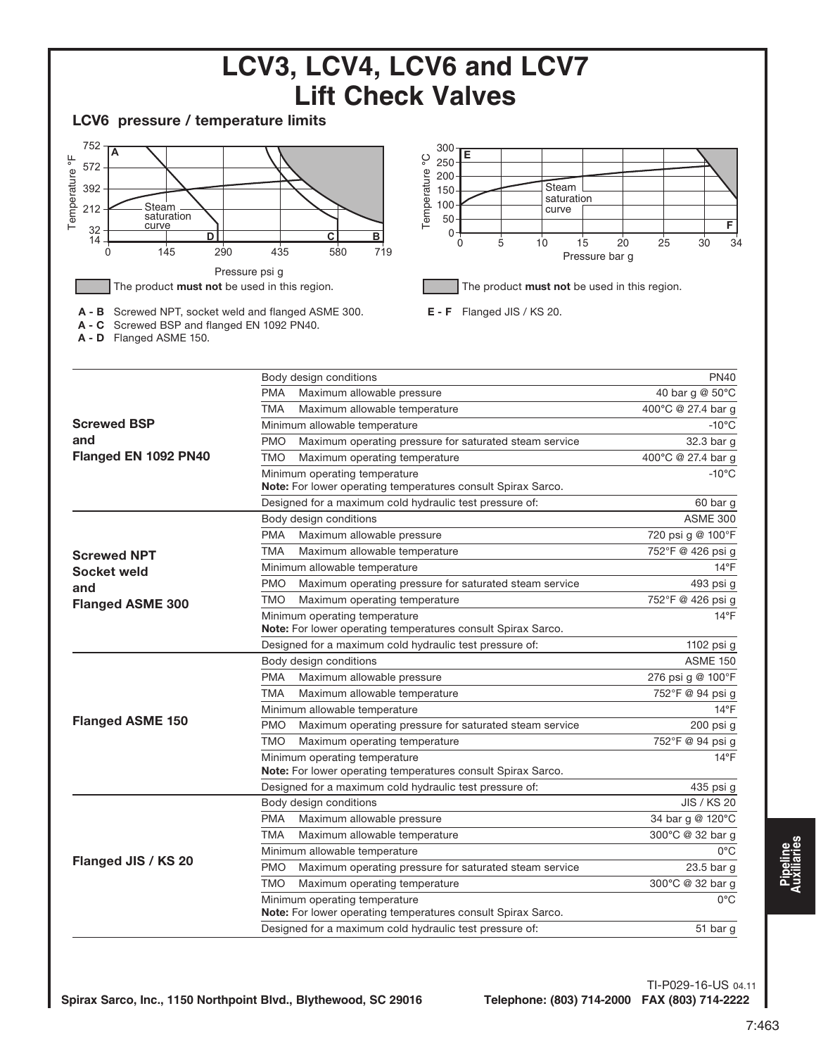

TI-P029-16-US 04.11

**Pipeline Auxiliaries**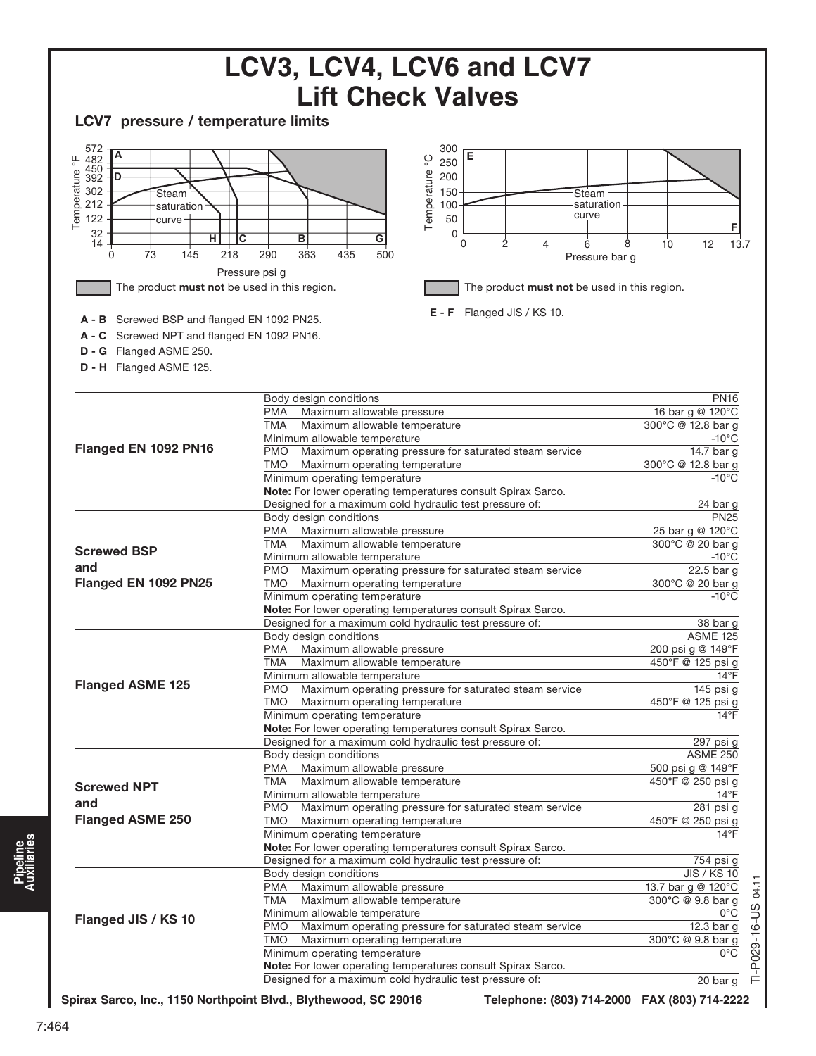

**Pipeline Auxiliaries**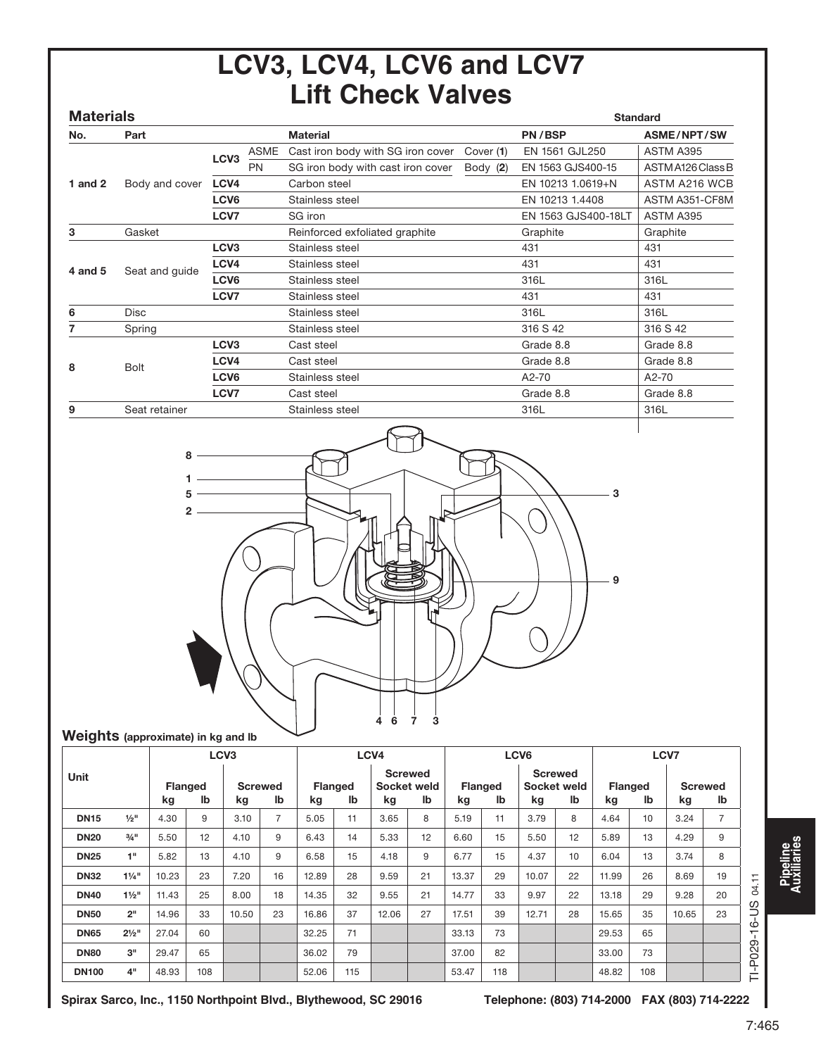## **LCV3, LCV4, LCV6 and LCV7 Lift Check Valves**

| <b>Materials</b> |                |                  |      |                                   |           |                     | <b>Standard</b>   |
|------------------|----------------|------------------|------|-----------------------------------|-----------|---------------------|-------------------|
| No.              | Part           |                  |      | <b>Material</b>                   |           | PN/BSP              | ASME/NPT/SW       |
|                  |                | LCV <sub>3</sub> | ASME | Cast iron body with SG iron cover | Cover (1) | EN 1561 GJL250      | ASTM A395         |
|                  |                |                  | PN   | SG iron body with cast iron cover | Body (2)  | EN 1563 GJS400-15   | ASTM A126 Class B |
| 1 and $2$        | Body and cover | LCV <sub>4</sub> |      | Carbon steel                      |           | EN 10213 1.0619+N   | ASTM A216 WCB     |
|                  |                | LCV <sub>6</sub> |      | Stainless steel                   |           | EN 10213 1.4408     | ASTM A351-CF8M    |
|                  |                | LCV7             |      | SG iron                           |           | EN 1563 GJS400-18LT | ASTM A395         |
| 3                | Gasket         |                  |      | Reinforced exfoliated graphite    |           | Graphite            | Graphite          |
|                  |                | LCV <sub>3</sub> |      | Stainless steel                   |           | 431                 | 431               |
| 4 and 5          | Seat and guide | LCV4             |      | Stainless steel                   |           | 431                 | 431               |
|                  |                | LCV <sub>6</sub> |      | Stainless steel                   |           | 316L                | 316L              |
|                  |                | LCV7             |      | Stainless steel                   |           | 431                 | 431               |
| 6                | <b>Disc</b>    |                  |      | Stainless steel                   |           | 316L                | 316L              |
| 7                | Spring         |                  |      | Stainless steel                   |           | 316 S 42            | 316 S 42          |
|                  |                | LCV <sub>3</sub> |      | Cast steel                        |           | Grade 8.8           | Grade 8.8         |
| 8                | <b>Bolt</b>    | LCV4             |      | Cast steel                        |           | Grade 8.8           | Grade 8.8         |
|                  |                | LCV <sub>6</sub> |      | Stainless steel                   |           | A2-70               | A2-70             |
|                  |                | LCV7             |      | Cast steel                        |           | Grade 8.8           | Grade 8.8         |
| 9                | Seat retainer  |                  |      | Stainless steel                   |           | 316L                | 316L              |
|                  |                |                  |      |                                   |           |                     |                   |



### Weights (approximate) in kg and lb

|              |                     | LCV <sub>3</sub>     |     |                      |                | LCV <sub>4</sub>     |     |                      | LCV <sub>6</sub>  |       |                      |                   | LCV7                 |                      |     |       |                      |                  |
|--------------|---------------------|----------------------|-----|----------------------|----------------|----------------------|-----|----------------------|-------------------|-------|----------------------|-------------------|----------------------|----------------------|-----|-------|----------------------|------------------|
| Unit         |                     | <b>Flanged</b><br>kg | lb  | <b>Screwed</b><br>kg | Ib             | <b>Flanged</b><br>kg | lb  | <b>Screwed</b><br>kg | Socket weld<br>lb | kg    | <b>Flanged</b><br>lb | Socket weld<br>kq | <b>Screwed</b><br>lb | <b>Flanged</b><br>kg | lb  | kg    | <b>Screwed</b><br>lb |                  |
| <b>DN15</b>  | $1/2$ <sup>11</sup> | 4.30                 | 9   | 3.10                 | $\overline{7}$ | 5.05                 | 11  | 3.65                 | 8                 | 5.19  | 11                   | 3.79              | 8                    | 4.64                 | 10  | 3.24  | $\overline{7}$       |                  |
| <b>DN20</b>  | $3/4$ <sup>11</sup> | 5.50                 | 12  | 4.10                 | 9              | 6.43                 | 14  | 5.33                 | 12                | 6.60  | 15                   | 5.50              | 12                   | 5.89                 | 13  | 4.29  | 9                    |                  |
| <b>DN25</b>  | 1"                  | 5.82                 | 13  | 4.10                 | 9              | 6.58                 | 15  | 4.18                 | 9                 | 6.77  | 15                   | 4.37              | 10                   | 6.04                 | 13  | 3.74  | 8                    |                  |
| <b>DN32</b>  | $1\frac{1}{4}$ "    | 10.23                | 23  | 7.20                 | 16             | 12.89                | 28  | 9.59                 | 21                | 13.37 | 29                   | 10.07             | 22                   | 11.99                | 26  | 8.69  | 19                   | 04.11            |
| <b>DN40</b>  | $1\frac{1}{2}$ "    | 11.43                | 25  | 8.00                 | 18             | 14.35                | 32  | 9.55                 | 21                | 14.77 | 33                   | 9.97              | 22                   | 13.18                | 29  | 9.28  | 20                   |                  |
| <b>DN50</b>  | 2 <sup>11</sup>     | 14.96                | 33  | 10.50                | 23             | 16.86                | 37  | 12.06                | 27                | 17.51 | 39                   | 12.71             | 28                   | 15.65                | 35  | 10.65 | 23                   | SCI-             |
| <b>DN65</b>  | $2\frac{1}{2}$ "    | 27.04                | 60  |                      |                | 32.25                | 71  |                      |                   | 33.13 | 73                   |                   |                      | 29.53                | 65  |       |                      | G<br>$\mathbf -$ |
| <b>DN80</b>  | 3"                  | 29.47                | 65  |                      |                | 36.02                | 79  |                      |                   | 37.00 | 82                   |                   |                      | 33.00                | 73  |       |                      | TI-P029          |
| <b>DN100</b> | 4"                  | 48.93                | 108 |                      |                | 52.06                | 115 |                      |                   | 53.47 | 118                  |                   |                      | 48.82                | 108 |       |                      |                  |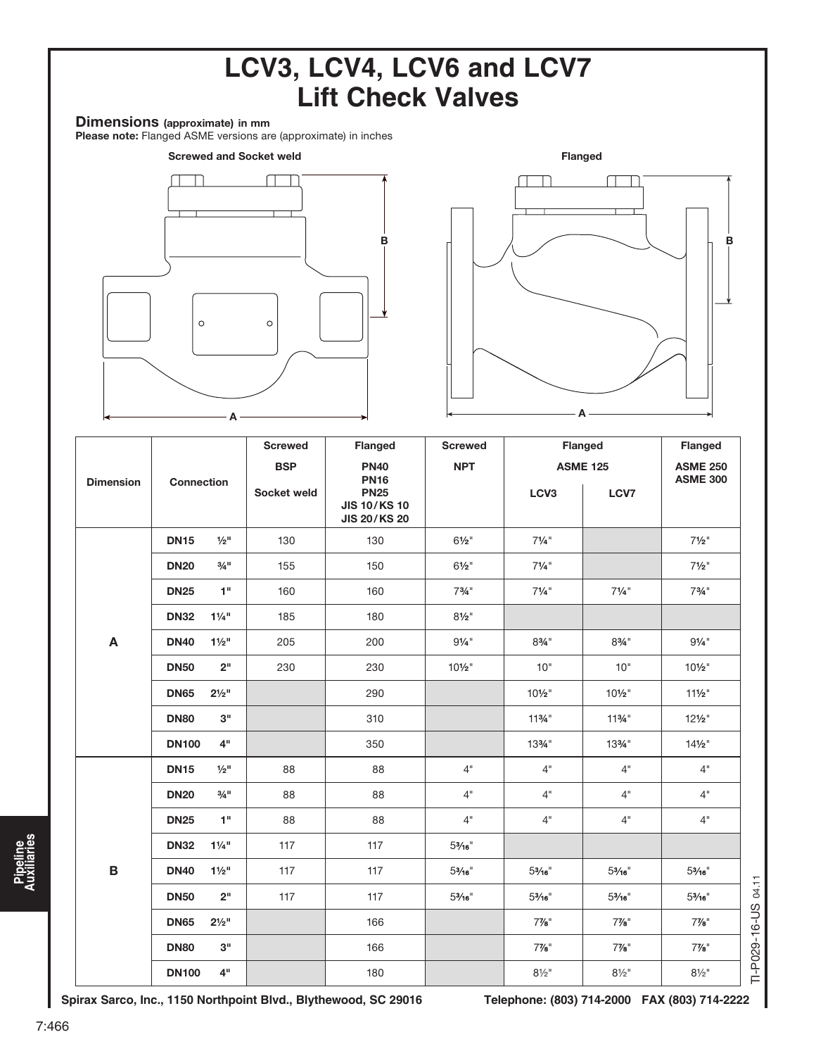